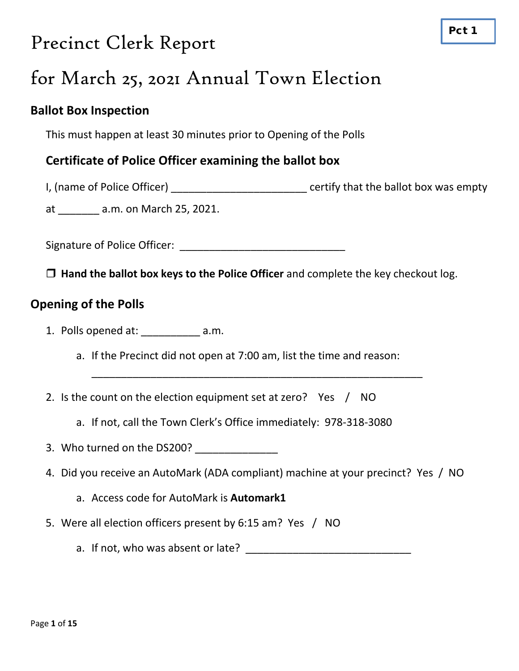# Precinct Clerk Report

# for March 25, 2021 Annual Town Election

### **Ballot Box Inspection**

This must happen at least 30 minutes prior to Opening of the Polls

### **Certificate of Police Officer examining the ballot box**

I, (name of Police Officer) **Example 2** certify that the ballot box was empty

at \_\_\_\_\_\_\_ a.m. on March 25, 2021.

Signature of Police Officer: \_\_\_\_\_\_\_\_\_\_\_\_\_\_\_\_\_\_\_\_\_\_\_\_\_\_\_\_

**Hand the ballot box keys to the Police Officer** and complete the key checkout log.

### **Opening of the Polls**

- 1. Polls opened at: a.m.
	- a. If the Precinct did not open at 7:00 am, list the time and reason:
- 2. Is the count on the election equipment set at zero? Yes / NO
	- a. If not, call the Town Clerk's Office immediately: 978-318-3080
- 3. Who turned on the DS200?
- 4. Did you receive an AutoMark (ADA compliant) machine at your precinct? Yes / NO

\_\_\_\_\_\_\_\_\_\_\_\_\_\_\_\_\_\_\_\_\_\_\_\_\_\_\_\_\_\_\_\_\_\_\_\_\_\_\_\_\_\_\_\_\_\_\_\_\_\_\_\_\_\_\_\_

- a. Access code for AutoMark is **Automark1**
- 5. Were all election officers present by 6:15 am? Yes / NO
	- a. If not, who was absent or late?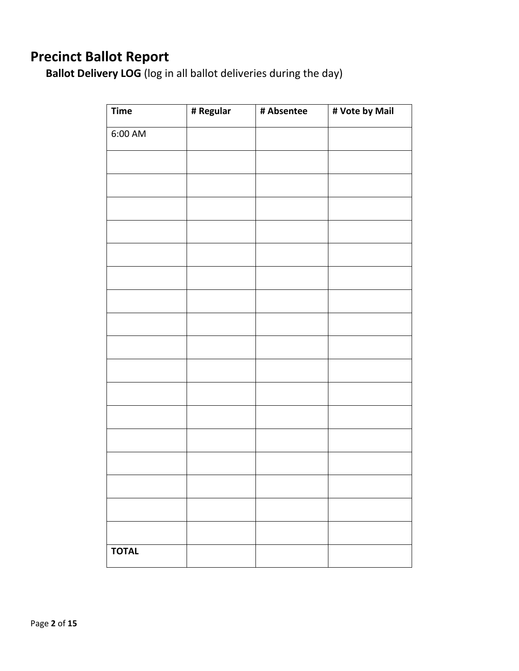# **Precinct Ballot Report**

**Ballot Delivery LOG** (log in all ballot deliveries during the day)

| <b>Time</b>  | # Regular | # Absentee | # Vote by Mail |
|--------------|-----------|------------|----------------|
| $6:00$ AM    |           |            |                |
|              |           |            |                |
|              |           |            |                |
|              |           |            |                |
|              |           |            |                |
|              |           |            |                |
|              |           |            |                |
|              |           |            |                |
|              |           |            |                |
|              |           |            |                |
|              |           |            |                |
|              |           |            |                |
|              |           |            |                |
|              |           |            |                |
|              |           |            |                |
|              |           |            |                |
|              |           |            |                |
|              |           |            |                |
|              |           |            |                |
| <b>TOTAL</b> |           |            |                |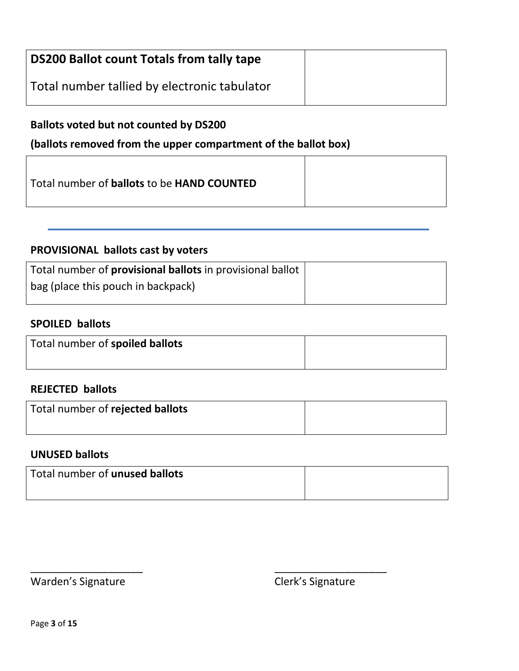| <b>DS200 Ballot count Totals from tally tape</b> |  |
|--------------------------------------------------|--|
| Total number tallied by electronic tabulator     |  |

### **Ballots voted but not counted by DS200**

### **(ballots removed from the upper compartment of the ballot box)**

| Total number of <b>ballots</b> to be <b>HAND COUNTED</b> |  |
|----------------------------------------------------------|--|
|----------------------------------------------------------|--|

### **PROVISIONAL ballots cast by voters**

| Total number of <b>provisional ballots</b> in provisional ballot |  |
|------------------------------------------------------------------|--|
| bag (place this pouch in backpack)                               |  |

### **SPOILED ballots**

| Total number of spoiled ballots |  |
|---------------------------------|--|
|                                 |  |

### **REJECTED ballots**

| Total number of rejected ballots |  |
|----------------------------------|--|
|                                  |  |

### **UNUSED ballots**

| Total number of unused ballots |  |
|--------------------------------|--|
|                                |  |

\_\_\_\_\_\_\_\_\_\_\_\_\_\_\_\_\_\_\_ \_\_\_\_\_\_\_\_\_\_\_\_\_\_\_\_\_\_\_

Warden's Signature **Clerk's Signature**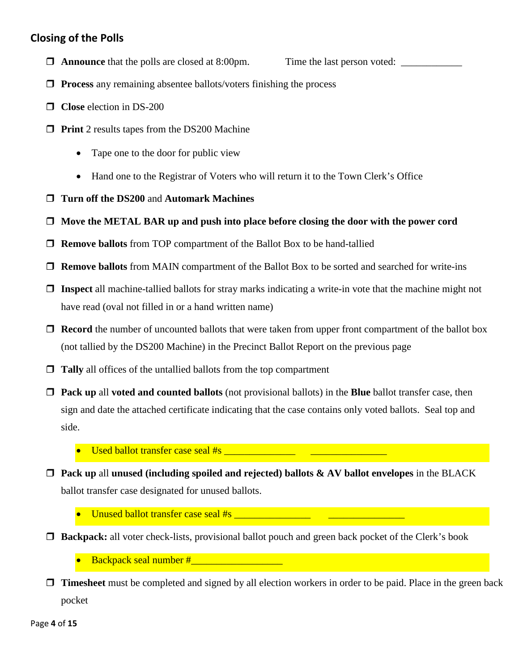#### **Closing of the Polls**

 $\Box$  **Announce** that the polls are closed at 8:00pm. Time the last person voted:

- **Process** any remaining absentee ballots/voters finishing the process
- **Close** election in DS-200
- **Print** 2 results tapes from the DS200 Machine
	- Tape one to the door for public view
	- Hand one to the Registrar of Voters who will return it to the Town Clerk's Office
- **Turn off the DS200** and **Automark Machines**
- **Move the METAL BAR up and push into place before closing the door with the power cord**
- **Remove ballots** from TOP compartment of the Ballot Box to be hand-tallied
- **Remove ballots** from MAIN compartment of the Ballot Box to be sorted and searched for write-ins
- **Inspect** all machine-tallied ballots for stray marks indicating a write-in vote that the machine might not have read (oval not filled in or a hand written name)
- **Record** the number of uncounted ballots that were taken from upper front compartment of the ballot box (not tallied by the DS200 Machine) in the Precinct Ballot Report on the previous page
- **Tally** all offices of the untallied ballots from the top compartment
- **Pack up** all **voted and counted ballots** (not provisional ballots) in the **Blue** ballot transfer case, then sign and date the attached certificate indicating that the case contains only voted ballots. Seal top and side.
	- Used ballot transfer case seal #s
- **Pack up** all **unused (including spoiled and rejected) ballots & AV ballot envelopes** in the BLACK ballot transfer case designated for unused ballots.
	- Unused ballot transfer case seal  $#s$
- **Backpack:** all voter check-lists, provisional ballot pouch and green back pocket of the Clerk's book
	- Backpack seal number #\_\_\_\_\_\_\_\_\_\_\_\_\_\_\_\_\_\_
- **T** Timesheet must be completed and signed by all election workers in order to be paid. Place in the green back pocket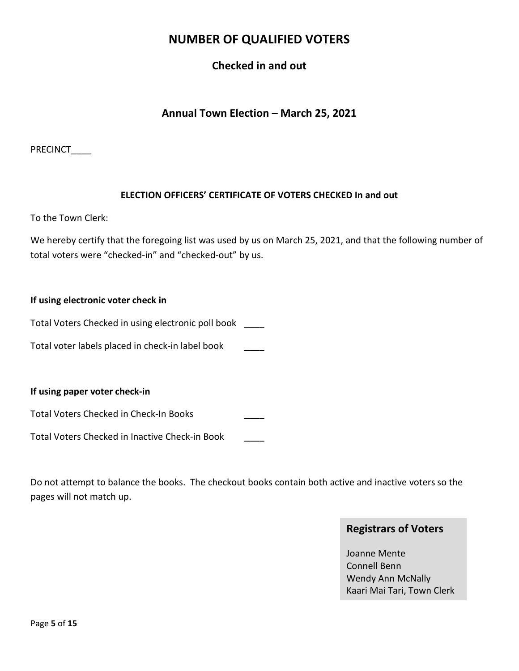### **NUMBER OF QUALIFIED VOTERS**

#### **Checked in and out**

#### **Annual Town Election – March 25, 2021**

PRECINCT\_\_\_\_

#### **ELECTION OFFICERS' CERTIFICATE OF VOTERS CHECKED In and out**

To the Town Clerk:

We hereby certify that the foregoing list was used by us on March 25, 2021, and that the following number of total voters were "checked-in" and "checked-out" by us.

#### **If using electronic voter check in**

Total Voters Checked in using electronic poll book \_\_\_\_

Total voter labels placed in check-in label book \_\_\_\_

**If using paper voter check-in**

Total Voters Checked in Check-In Books \_\_\_\_

Total Voters Checked in Inactive Check-in Book \_\_\_\_

Do not attempt to balance the books. The checkout books contain both active and inactive voters so the pages will not match up.

#### **Registrars of Voters**

Joanne Mente Connell Benn Wendy Ann McNally Kaari Mai Tari, Town Clerk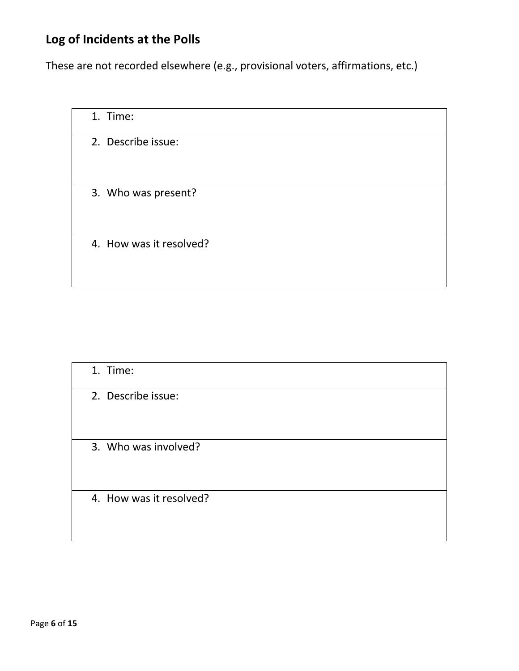| 1. Time:                |  |
|-------------------------|--|
| 2. Describe issue:      |  |
| 3. Who was present?     |  |
| 4. How was it resolved? |  |

| 1. Time:                |  |
|-------------------------|--|
| 2. Describe issue:      |  |
| 3. Who was involved?    |  |
| 4. How was it resolved? |  |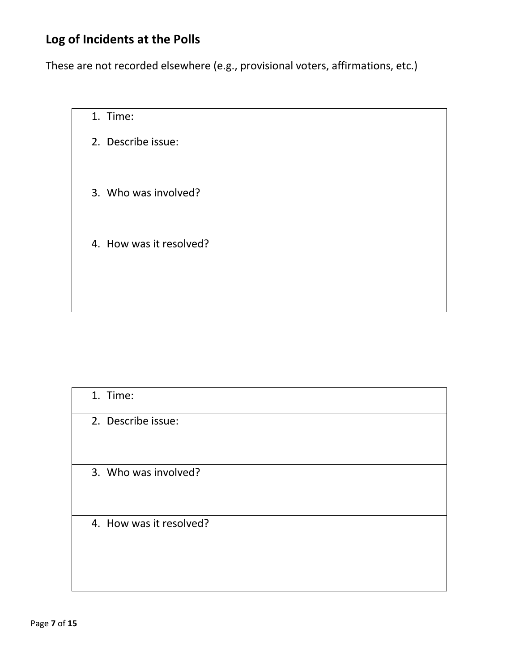| 1. Time:                |  |
|-------------------------|--|
| 2. Describe issue:      |  |
| 3. Who was involved?    |  |
| 4. How was it resolved? |  |

| 1. Time:                |  |
|-------------------------|--|
| 2. Describe issue:      |  |
| 3. Who was involved?    |  |
| 4. How was it resolved? |  |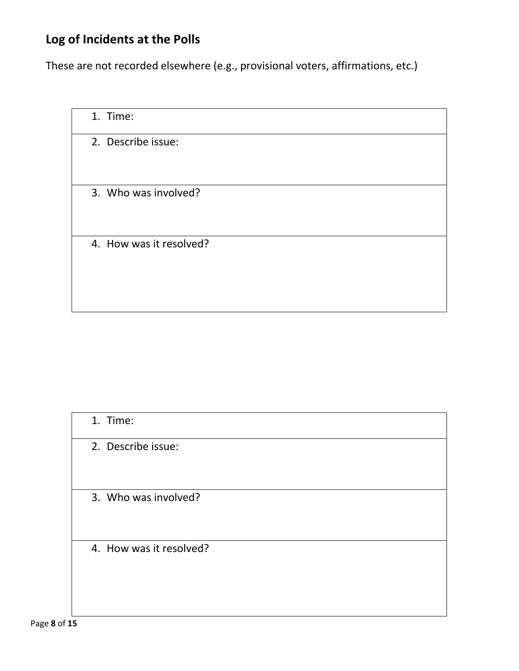| 1. Time:                |  |
|-------------------------|--|
| 2. Describe issue:      |  |
| 3. Who was involved?    |  |
| 4. How was it resolved? |  |

| 1. Time:                |  |
|-------------------------|--|
| 2. Describe issue:      |  |
| 3. Who was involved?    |  |
| 4. How was it resolved? |  |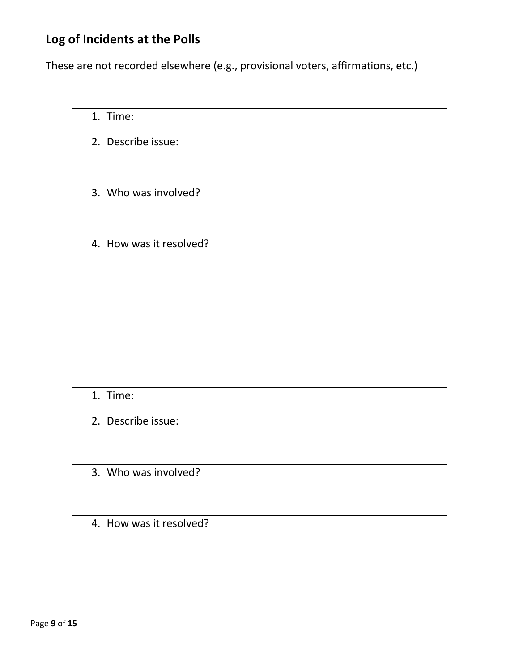| 1. Time:                |  |
|-------------------------|--|
| 2. Describe issue:      |  |
| 3. Who was involved?    |  |
| 4. How was it resolved? |  |

| 1. Time:                |  |
|-------------------------|--|
| 2. Describe issue:      |  |
| 3. Who was involved?    |  |
| 4. How was it resolved? |  |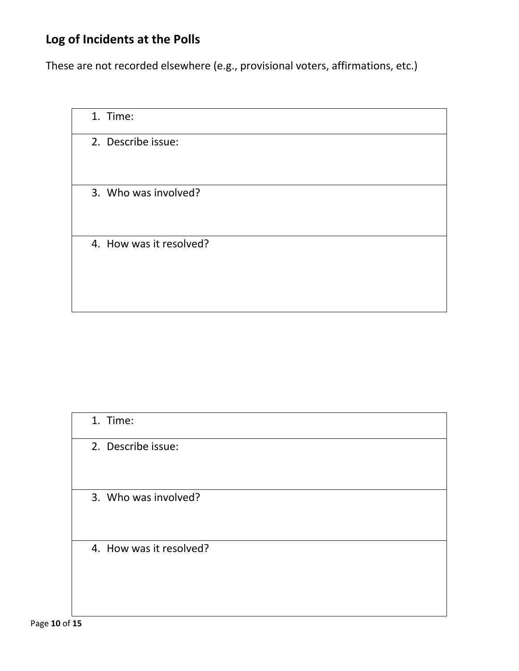| 1. Time:                |  |
|-------------------------|--|
| 2. Describe issue:      |  |
| 3. Who was involved?    |  |
| 4. How was it resolved? |  |

| 1. Time:                |  |
|-------------------------|--|
| 2. Describe issue:      |  |
| 3. Who was involved?    |  |
| 4. How was it resolved? |  |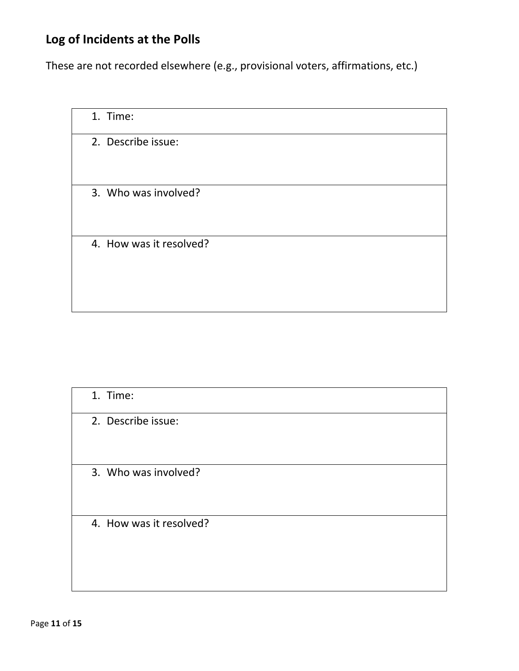| 1. Time:                |  |
|-------------------------|--|
| 2. Describe issue:      |  |
| 3. Who was involved?    |  |
| 4. How was it resolved? |  |

| 1. Time:                |  |
|-------------------------|--|
| 2. Describe issue:      |  |
| 3. Who was involved?    |  |
| 4. How was it resolved? |  |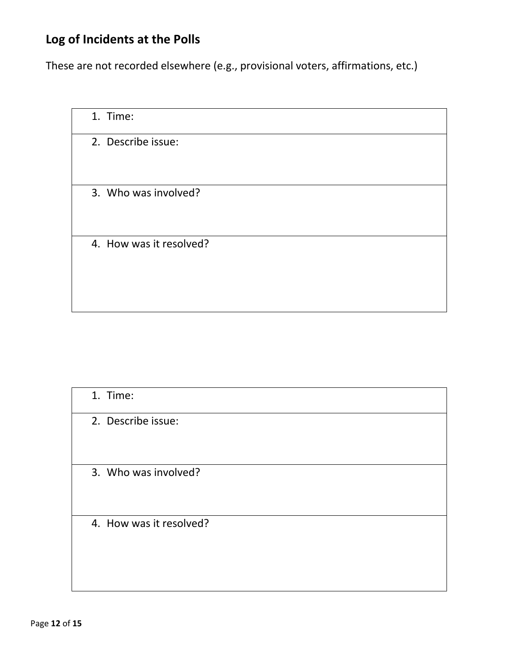| 1. Time:                |  |
|-------------------------|--|
| 2. Describe issue:      |  |
| 3. Who was involved?    |  |
| 4. How was it resolved? |  |

| 1. Time:                |  |
|-------------------------|--|
| 2. Describe issue:      |  |
| 3. Who was involved?    |  |
| 4. How was it resolved? |  |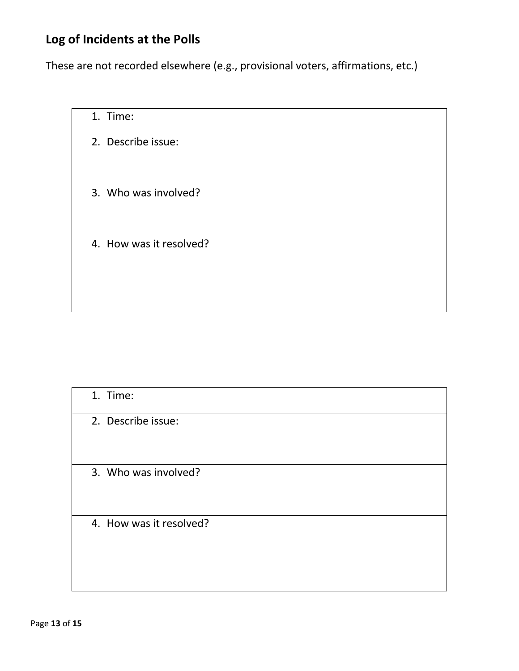| 1. Time:                |  |
|-------------------------|--|
| 2. Describe issue:      |  |
| 3. Who was involved?    |  |
| 4. How was it resolved? |  |

| 1. Time:                |  |
|-------------------------|--|
| 2. Describe issue:      |  |
| 3. Who was involved?    |  |
| 4. How was it resolved? |  |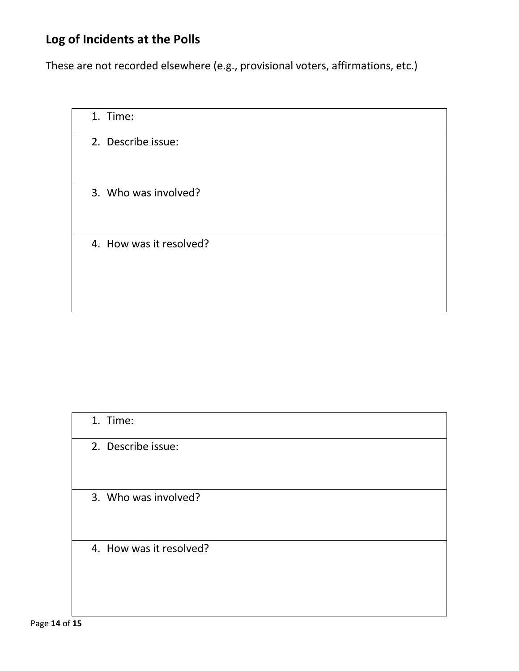| 1. Time:                |  |
|-------------------------|--|
| 2. Describe issue:      |  |
| 3. Who was involved?    |  |
| 4. How was it resolved? |  |

| 1. Time:                |  |
|-------------------------|--|
| 2. Describe issue:      |  |
| 3. Who was involved?    |  |
| 4. How was it resolved? |  |